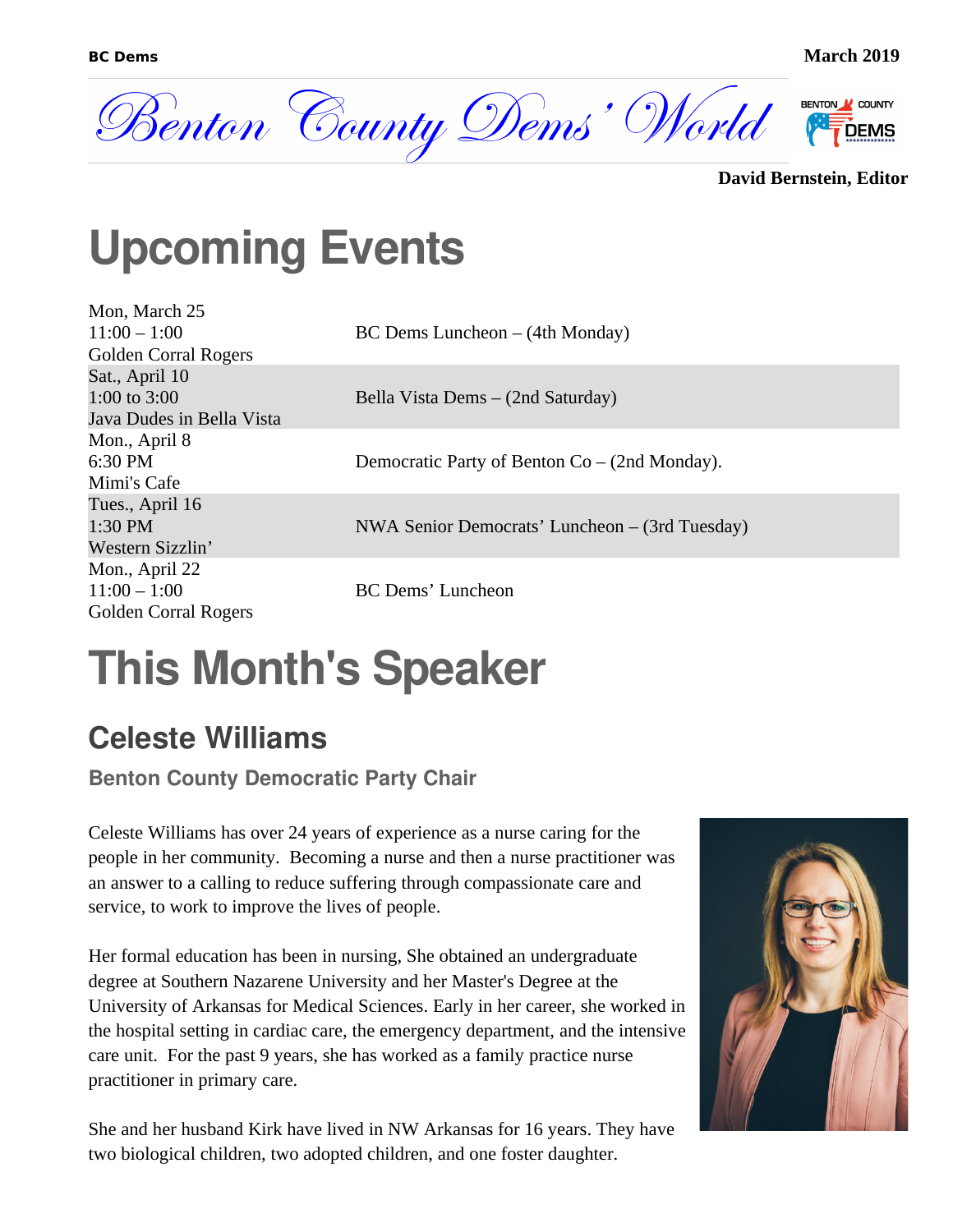

```
David Bernstein, Editor
```
#### **Upcoming Events**

Mon, March 25 11:00 – 1:00 [Golden Corral Rogers](https://goo.gl/maps/Bt81MZ9RTko) Sat., April 10 1:00 to 3:00 Java Dudes in Bella Vista Mon., April 8 6:30 PM [Mimi's Cafe](https://goo.gl/maps/bGFg9uo5pHm) Tues., April 16 1:30 PM [Western Sizzlin'](https://goo.gl/maps/4s9epZro1js) Mon., April 22  $11:00 - 1:00$ [Golden Corral](https://goo.gl/maps/Bt81MZ9RTko) Rogers

BC Dems Luncheon – (4th Monday)

Bella Vista Dems – (2nd Saturday)

Democratic Party of Benton Co – (2nd Monday).

NWA Senior Democrats' Luncheon – (3rd Tuesday)

BC Dems' Luncheon

### **This Month's Speaker**

#### **Celeste Williams**

**Benton County Democratic Party Chair**

Celeste Williams has over 24 years of experience as a nurse caring for the people in her community. Becoming a nurse and then a nurse practitioner was an answer to a calling to reduce suffering through compassionate care and service, to work to improve the lives of people.

Her formal education has been in nursing, She obtained an undergraduate degree at Southern Nazarene University and her Master's Degree at the University of Arkansas for Medical Sciences. Early in her career, she worked in the hospital setting in cardiac care, the emergency department, and the intensive care unit. For the past 9 years, she has worked as a family practice nurse practitioner in primary care.

She and her husband Kirk have lived in NW Arkansas for 16 years. They have two biological children, two adopted children, and one foster daughter.

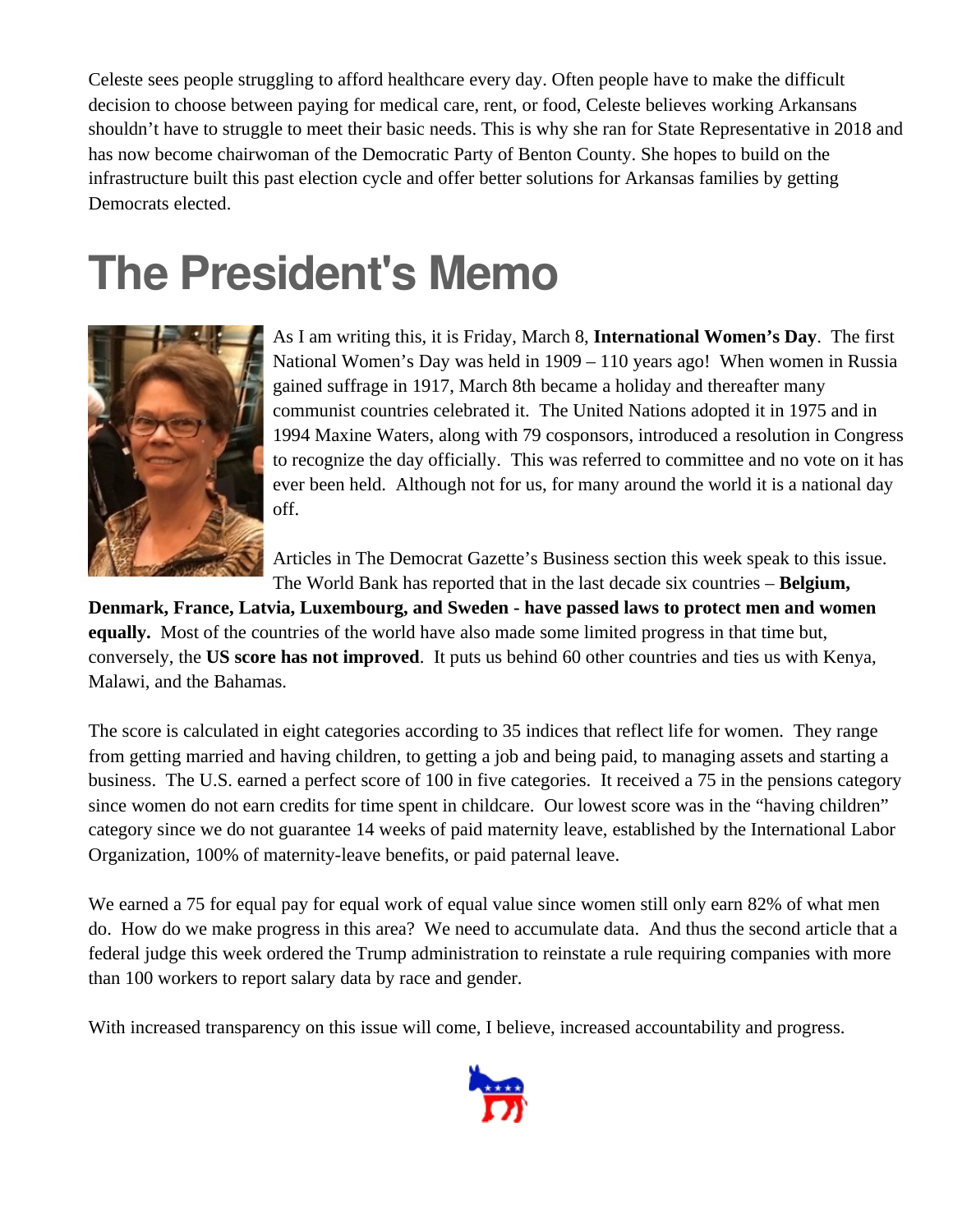Celeste sees people struggling to afford healthcare every day. Often people have to make the difficult decision to choose between paying for medical care, rent, or food, Celeste believes working Arkansans shouldn't have to struggle to meet their basic needs. This is why she ran for State Representative in 2018 and has now become chairwoman of the Democratic Party of Benton County. She hopes to build on the infrastructure built this past election cycle and offer better solutions for Arkansas families by getting Democrats elected.

#### **The President's Memo**



As I am writing this, it is Friday, March 8, **International Women's Day**. The first National Women's Day was held in 1909 – 110 years ago! When women in Russia gained suffrage in 1917, March 8th became a holiday and thereafter many communist countries celebrated it. The United Nations adopted it in 1975 and in 1994 Maxine Waters, along with 79 cosponsors, introduced a resolution in Congress to recognize the day officially. This was referred to committee and no vote on it has ever been held. Although not for us, for many around the world it is a national day off.

Articles in The Democrat Gazette's Business section this week speak to this issue. The World Bank has reported that in the last decade six countries – **Belgium,** 

**Denmark, France, Latvia, Luxembourg, and Sweden - have passed laws to protect men and women equally.** Most of the countries of the world have also made some limited progress in that time but, conversely, the **US score has not improved**. It puts us behind 60 other countries and ties us with Kenya, Malawi, and the Bahamas.

The score is calculated in eight categories according to 35 indices that reflect life for women. They range from getting married and having children, to getting a job and being paid, to managing assets and starting a business. The U.S. earned a perfect score of 100 in five categories. It received a 75 in the pensions category since women do not earn credits for time spent in childcare. Our lowest score was in the "having children" category since we do not guarantee 14 weeks of paid maternity leave, established by the International Labor Organization, 100% of maternity-leave benefits, or paid paternal leave.

We earned a 75 for equal pay for equal work of equal value since women still only earn 82% of what men do. How do we make progress in this area? We need to accumulate data. And thus the second article that a federal judge this week ordered the Trump administration to reinstate a rule requiring companies with more than 100 workers to report salary data by race and gender.

With increased transparency on this issue will come, I believe, increased accountability and progress.

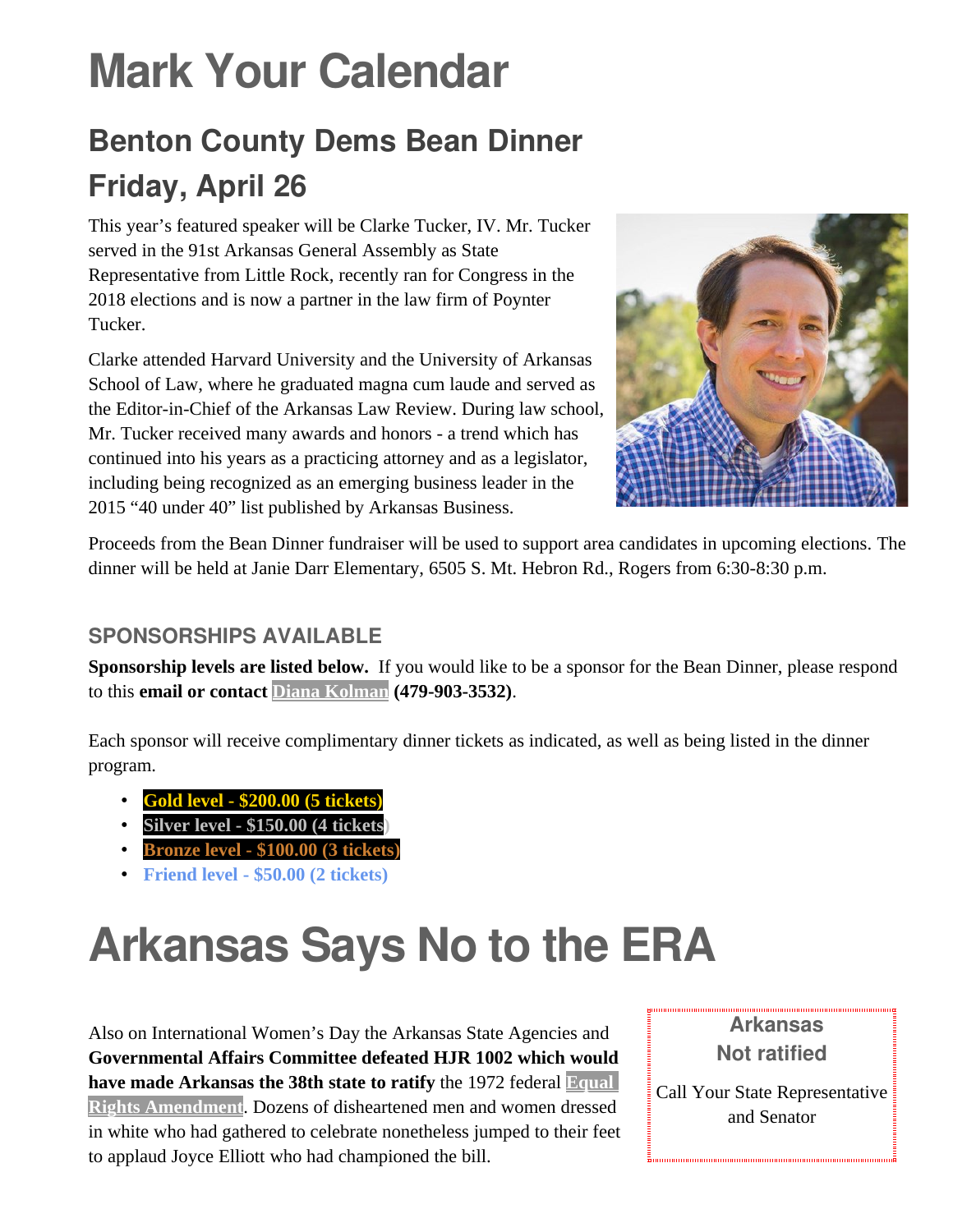## **Mark Your Calendar**

#### **Benton County Dems Bean Dinner Friday, April 26**

This year's featured speaker will be Clarke Tucker, IV. Mr. Tucker served in the 91st Arkansas General Assembly as State Representative from Little Rock, recently ran for Congress in the 2018 elections and is now a partner in the law firm of Poynter Tucker.

Clarke attended Harvard University and the University of Arkansas School of Law, where he graduated magna cum laude and served as the Editor-in-Chief of the Arkansas Law Review. During law school, Mr. Tucker received many awards and honors - a trend which has continued into his years as a practicing attorney and as a legislator, including being recognized as an emerging business leader in the 2015 "40 under 40" list published by Arkansas Business.



Proceeds from the Bean Dinner fundraiser will be used to support area candidates in upcoming elections. The dinner will be held at Janie Darr Elementary, 6505 S. Mt. Hebron Rd., Rogers from 6:30-8:30 p.m.

#### **SPONSORSHIPS AVAILABLE**

**Sponsorship levels are listed below.** If you would like to be a sponsor for the Bean Dinner, please respond to this **email or contact [Diana Kolman](mailto:dkolman@cox.net?subject=Bean%20Dinner%20Sponsorship) (479-903-3532)**.

Each sponsor will receive complimentary dinner tickets as indicated, as well as being listed in the dinner program.

- **Gold level \$200.00 (5 tickets)**
- **Silver level \$150.00 (4 tickets)**
- **Bronze level \$100.00 (3 tickets)**
- **Friend level \$50.00 (2 tickets)**

## **Arkansas Says No to the ERA**

Also on International Women's Day the Arkansas State Agencies and **Governmental Affairs Committee defeated HJR 1002 which would have made Arkansas the 38th state to ratify** the 1972 federal **[Equal](https://www.equalrightsamendment.org/)  [Rights Amendment](https://www.equalrightsamendment.org/)**. Dozens of disheartened men and women dressed in white who had gathered to celebrate nonetheless jumped to their feet to applaud Joyce Elliott who had championed the bill.

**Arkansas Not ratified**

Call Your State Representative and Senator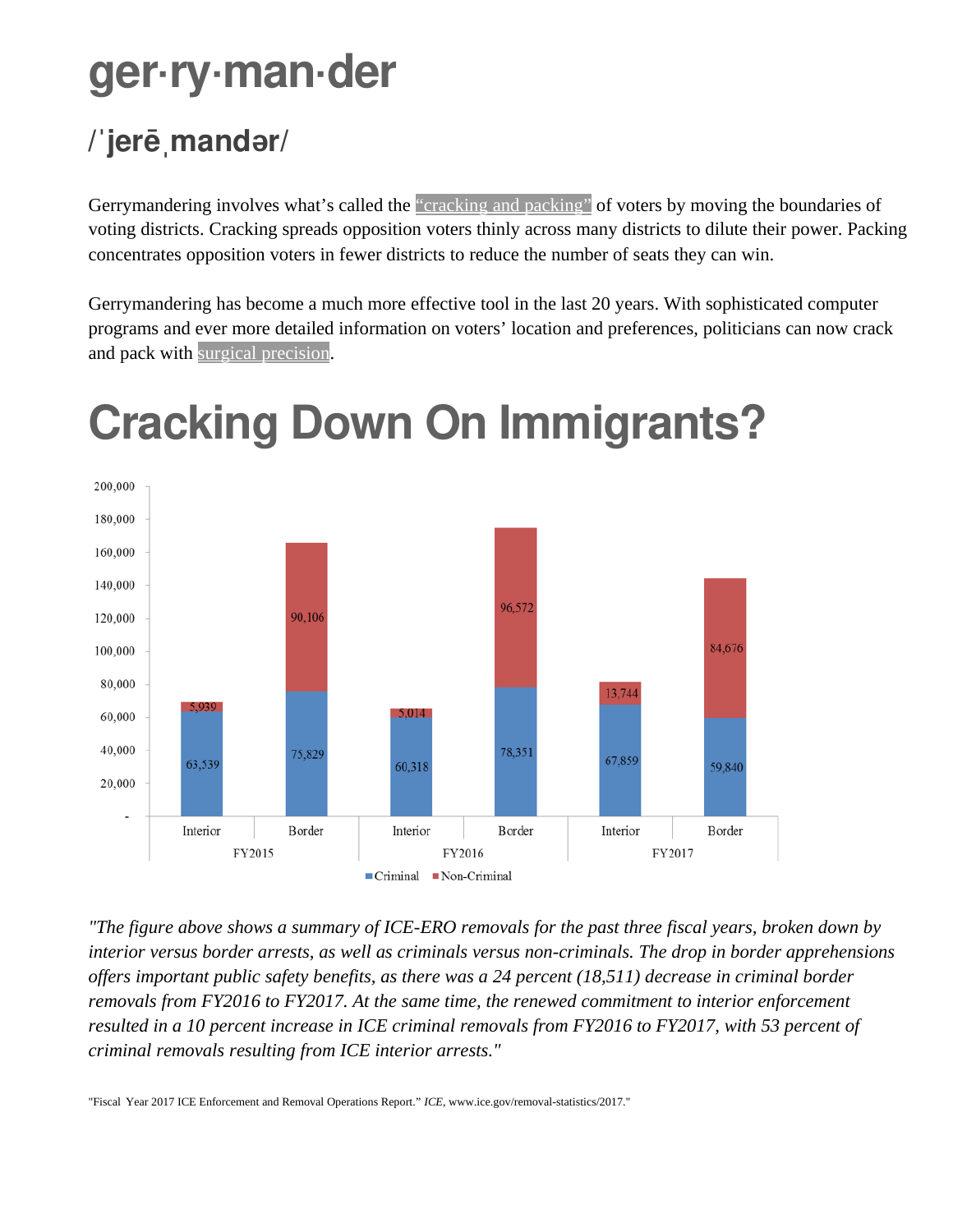#### **ger·ry·man·der**

#### **/ jerē mand r/ ˈ ˌ ə**

Gerrymandering involves what's called the ["cracking and packing"](http://www.redistrictinggame.org/learnaboutmission2.php) of voters by moving the boundaries of voting districts. Cracking spreads opposition voters thinly across many districts to dilute their power. Packing concentrates opposition voters in fewer districts to reduce the number of seats they can win.

Gerrymandering has become a much more effective tool in the last 20 years. With sophisticated computer programs and ever more detailed information on voters' location and preferences, politicians can now crack and pack with [surgical precision](https://www.washingtonpost.com/news/monkey-cage/wp/2018/04/26/yes-gerrymandering-is-getting-worse-and-will-get-worse-still-this-explains-why/).



## **Cracking Down On Immigrants?**

*"The figure above shows a summary of ICE-ERO removals for the past three fiscal years, broken down by interior versus border arrests, as well as criminals versus non-criminals. The drop in border apprehensions offers important public safety benefits, as there was a 24 percent (18,511) decrease in criminal border removals from FY2016 to FY2017. At the same time, the renewed commitment to interior enforcement resulted in a 10 percent increase in ICE criminal removals from FY2016 to FY2017, with 53 percent of criminal removals resulting from ICE interior arrests."*

"Fiscal Year 2017 ICE Enforcement and Removal Operations Report." *ICE*, www.ice.gov/removal-statistics/2017."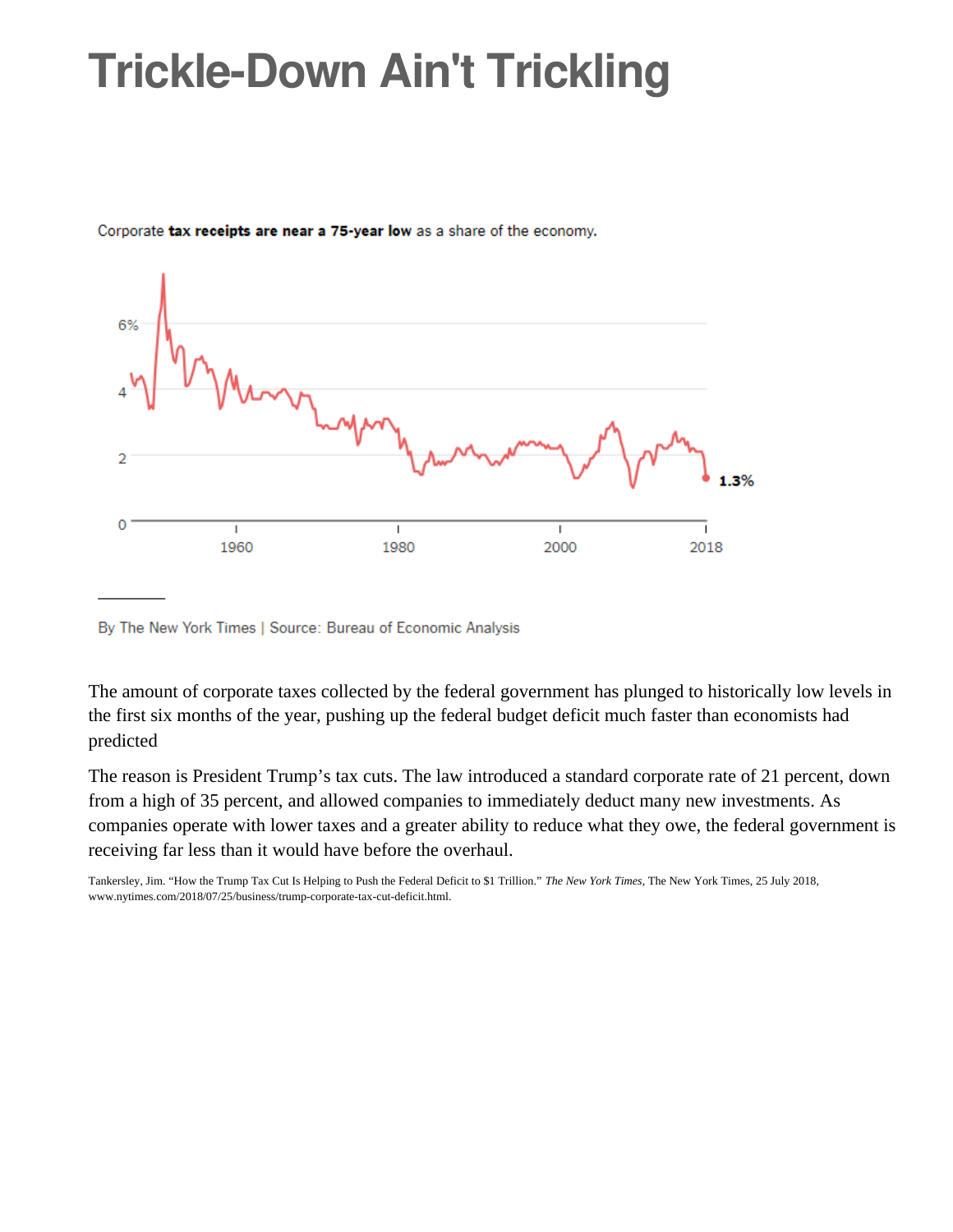### **Trickle-Down Ain't Trickling**



Corporate tax receipts are near a 75-year low as a share of the economy.

By The New York Times | Source: Bureau of Economic Analysis

The amount of corporate taxes collected by the federal government has plunged to historically low levels in the first six months of the year, pushing up the federal budget deficit much faster than economists had predicted

The reason is President Trump's tax cuts. The law introduced a standard corporate rate of 21 percent, down from a high of 35 percent, and allowed companies to immediately deduct many new investments. As companies operate with lower taxes and a greater ability to reduce what they owe, the federal government is receiving far less than it would have before the overhaul.

Tankersley, Jim. "How the Trump Tax Cut Is Helping to Push the Federal Deficit to \$1 Trillion." *The New York Times*, The New York Times, 25 July 2018, www.nytimes.com/2018/07/25/business/trump-corporate-tax-cut-deficit.html.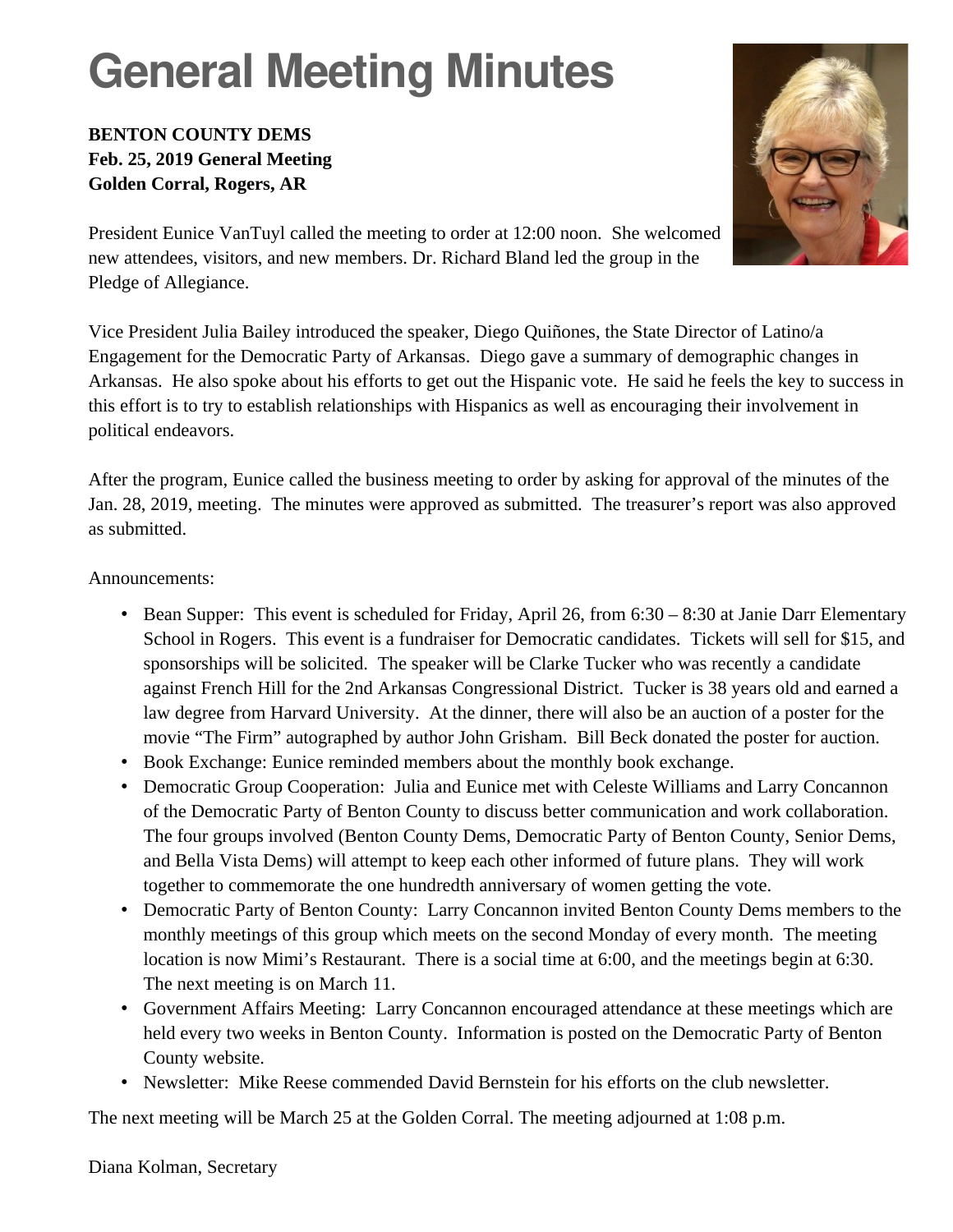## **General Meeting Minutes**

#### **BENTON COUNTY DEMS Feb. 25, 2019 General Meeting Golden Corral, Rogers, AR**



President Eunice VanTuyl called the meeting to order at 12:00 noon. She welcomed new attendees, visitors, and new members. Dr. Richard Bland led the group in the Pledge of Allegiance.

Vice President Julia Bailey introduced the speaker, Diego Quiñones, the State Director of Latino/a Engagement for the Democratic Party of Arkansas. Diego gave a summary of demographic changes in Arkansas. He also spoke about his efforts to get out the Hispanic vote. He said he feels the key to success in this effort is to try to establish relationships with Hispanics as well as encouraging their involvement in political endeavors.

After the program, Eunice called the business meeting to order by asking for approval of the minutes of the Jan. 28, 2019, meeting. The minutes were approved as submitted. The treasurer's report was also approved as submitted.

Announcements:

- Bean Supper: This event is scheduled for Friday, April 26, from 6:30 8:30 at Janie Darr Elementary School in Rogers. This event is a fundraiser for Democratic candidates. Tickets will sell for \$15, and sponsorships will be solicited. The speaker will be Clarke Tucker who was recently a candidate against French Hill for the 2nd Arkansas Congressional District. Tucker is 38 years old and earned a law degree from Harvard University. At the dinner, there will also be an auction of a poster for the movie "The Firm" autographed by author John Grisham. Bill Beck donated the poster for auction.
- Book Exchange: Eunice reminded members about the monthly book exchange.
- Democratic Group Cooperation: Julia and Eunice met with Celeste Williams and Larry Concannon of the Democratic Party of Benton County to discuss better communication and work collaboration. The four groups involved (Benton County Dems, Democratic Party of Benton County, Senior Dems, and Bella Vista Dems) will attempt to keep each other informed of future plans. They will work together to commemorate the one hundredth anniversary of women getting the vote.
- Democratic Party of Benton County: Larry Concannon invited Benton County Dems members to the monthly meetings of this group which meets on the second Monday of every month. The meeting location is now Mimi's Restaurant. There is a social time at 6:00, and the meetings begin at 6:30. The next meeting is on March 11.
- Government Affairs Meeting: Larry Concannon encouraged attendance at these meetings which are held every two weeks in Benton County. Information is posted on the Democratic Party of Benton County website.
- Newsletter: Mike Reese commended David Bernstein for his efforts on the club newsletter.

The next meeting will be March 25 at the Golden Corral. The meeting adjourned at 1:08 p.m.